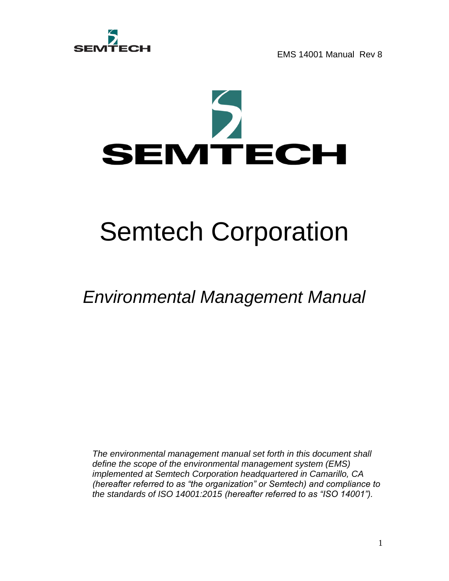

# Semtech Corporation

# *Environmental Management Manual*

*The environmental management manual set forth in this document shall define the scope of the environmental management system (EMS) implemented at Semtech Corporation headquartered in Camarillo, CA (hereafter referred to as "the organization" or Semtech) and compliance to the standards of ISO 14001:2015 (hereafter referred to as "ISO 14001").*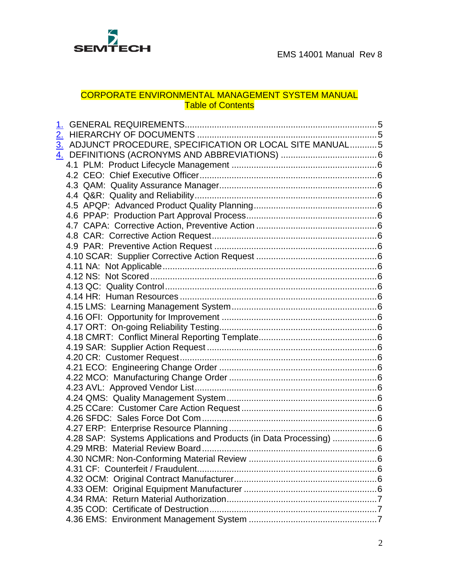

# CORPORATE ENVIRONMENTAL MANAGEMENT SYSTEM MANUAL **Table of Contents**

| 3. ADJUNCT PROCEDURE, SPECIFICATION OR LOCAL SITE MANUAL5<br>4.28 SAP: Systems Applications and Products (in Data Processing) 6<br>4.29 MRB: Material Review Board<br>$\sim$ 6 |
|--------------------------------------------------------------------------------------------------------------------------------------------------------------------------------|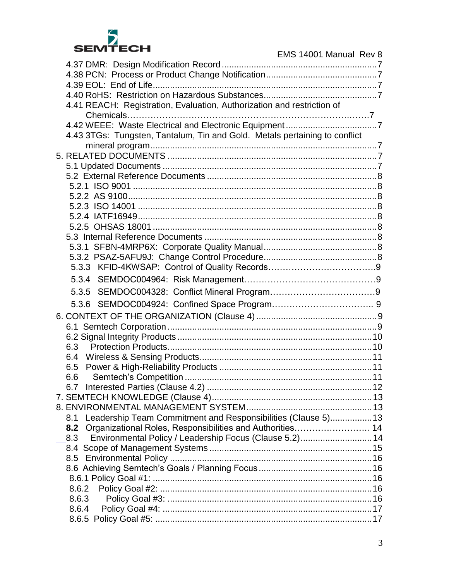

| ЭEM I EVN                                                                  | EMS 14001 Manual Rev 8 |
|----------------------------------------------------------------------------|------------------------|
|                                                                            |                        |
|                                                                            |                        |
|                                                                            |                        |
|                                                                            |                        |
| 4.41 REACH: Registration, Evaluation, Authorization and restriction of     |                        |
|                                                                            |                        |
|                                                                            |                        |
| 4.43 3TGs: Tungsten, Tantalum, Tin and Gold. Metals pertaining to conflict |                        |

| 4.43 3TGs: Tungsten, Tantalum, Tin and Gold. Metals pertaining to conflict |  |
|----------------------------------------------------------------------------|--|
|                                                                            |  |
|                                                                            |  |
|                                                                            |  |
|                                                                            |  |
|                                                                            |  |
|                                                                            |  |
|                                                                            |  |
|                                                                            |  |
|                                                                            |  |
|                                                                            |  |
|                                                                            |  |
|                                                                            |  |
|                                                                            |  |
|                                                                            |  |
| 5.3.5                                                                      |  |
|                                                                            |  |
|                                                                            |  |
|                                                                            |  |
|                                                                            |  |
| 6.3                                                                        |  |
|                                                                            |  |
| 6.5                                                                        |  |
| 6.6                                                                        |  |
| 6.7                                                                        |  |
|                                                                            |  |
|                                                                            |  |
| Leadership Team Commitment and Responsibilities (Clause 5) 13<br>8.1       |  |
| Organizational Roles, Responsibilities and Authorities 14<br>8.2           |  |
| Environmental Policy / Leadership Focus (Clause 5.2) 14<br>8.3             |  |
|                                                                            |  |
|                                                                            |  |
|                                                                            |  |
| 8.6.2                                                                      |  |
| 8.6.3                                                                      |  |
| 8.6.4                                                                      |  |
|                                                                            |  |
|                                                                            |  |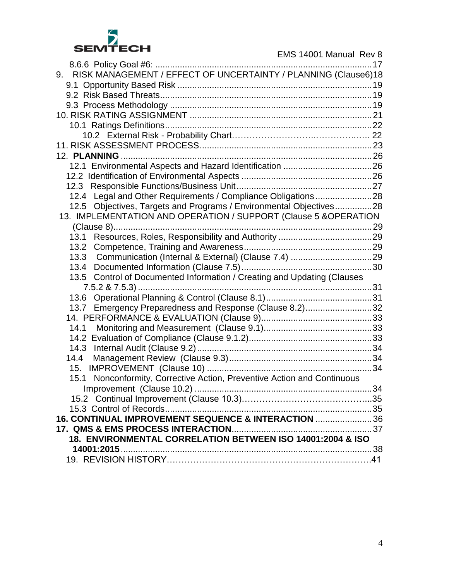

| RISK MANAGEMENT / EFFECT OF UNCERTAINTY / PLANNING (Clause6)18<br>9.       |    |
|----------------------------------------------------------------------------|----|
|                                                                            |    |
|                                                                            |    |
|                                                                            |    |
|                                                                            |    |
|                                                                            |    |
|                                                                            |    |
|                                                                            |    |
|                                                                            |    |
|                                                                            |    |
|                                                                            |    |
|                                                                            |    |
| 12.4 Legal and Other Requirements / Compliance Obligations28               |    |
| 12.5 Objectives, Targets and Programs / Environmental Objectives28         |    |
| 13. IMPLEMENTATION AND OPERATION / SUPPORT (Clause 5 & OPERATION           |    |
|                                                                            |    |
| 13.1                                                                       |    |
| 13.2                                                                       |    |
|                                                                            |    |
|                                                                            |    |
| 13.5 Control of Documented Information / Creating and Updating (Clauses    |    |
|                                                                            |    |
|                                                                            |    |
| Emergency Preparedness and Response (Clause 8.2)32<br>13.7                 |    |
|                                                                            |    |
| 14.1                                                                       |    |
|                                                                            |    |
| 14.3                                                                       |    |
| 14.4                                                                       |    |
| 15.                                                                        |    |
| Nonconformity, Corrective Action, Preventive Action and Continuous<br>15.1 |    |
| Improvement (Clause 10.2)                                                  | 34 |
|                                                                            |    |
| 16. CONTINUAL IMPROVEMENT SEQUENCE & INTERACTION  36                       |    |
|                                                                            |    |
| 18. ENVIRONMENTAL CORRELATION BETWEEN ISO 14001:2004 & ISO                 |    |
|                                                                            |    |
|                                                                            |    |
|                                                                            |    |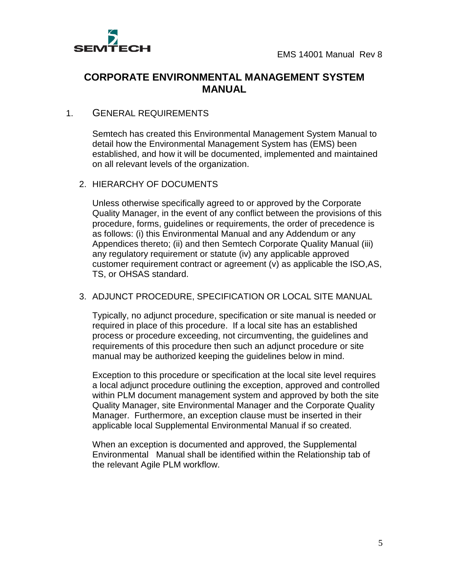

# **CORPORATE ENVIRONMENTAL MANAGEMENT SYSTEM MANUAL**

#### <span id="page-4-0"></span>1. GENERAL REQUIREMENTS

Semtech has created this Environmental Management System Manual to detail how the Environmental Management System has (EMS) been established, and how it will be documented, implemented and maintained on all relevant levels of the organization.

#### <span id="page-4-1"></span>2. HIERARCHY OF DOCUMENTS

Unless otherwise specifically agreed to or approved by the Corporate Quality Manager, in the event of any conflict between the provisions of this procedure, forms, guidelines or requirements, the order of precedence is as follows: (i) this Environmental Manual and any Addendum or any Appendices thereto; (ii) and then Semtech Corporate Quality Manual (iii) any regulatory requirement or statute (iv) any applicable approved customer requirement contract or agreement (v) as applicable the ISO,AS, TS, or OHSAS standard.

#### <span id="page-4-2"></span>3. ADJUNCT PROCEDURE, SPECIFICATION OR LOCAL SITE MANUAL

Typically, no adjunct procedure, specification or site manual is needed or required in place of this procedure. If a local site has an established process or procedure exceeding, not circumventing, the guidelines and requirements of this procedure then such an adjunct procedure or site manual may be authorized keeping the guidelines below in mind.

Exception to this procedure or specification at the local site level requires a local adjunct procedure outlining the exception, approved and controlled within PLM document management system and approved by both the site Quality Manager, site Environmental Manager and the Corporate Quality Manager. Furthermore, an exception clause must be inserted in their applicable local Supplemental Environmental Manual if so created.

When an exception is documented and approved, the Supplemental Environmental Manual shall be identified within the Relationship tab of the relevant Agile PLM workflow.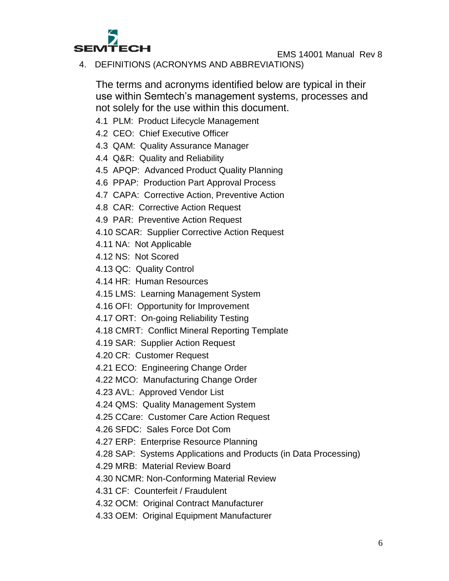

<span id="page-5-0"></span>4. DEFINITIONS (ACRONYMS AND ABBREVIATIONS)

The terms and acronyms identified below are typical in their use within Semtech's management systems, processes and not solely for the use within this document.

- <span id="page-5-1"></span>4.1 PLM: Product Lifecycle Management
- <span id="page-5-2"></span>4.2 CEO: Chief Executive Officer
- <span id="page-5-3"></span>4.3 QAM: Quality Assurance Manager
- <span id="page-5-4"></span>4.4 Q&R: Quality and Reliability
- <span id="page-5-5"></span>4.5 APQP: Advanced Product Quality Planning
- <span id="page-5-6"></span>4.6 PPAP: Production Part Approval Process
- <span id="page-5-7"></span>4.7 CAPA: Corrective Action, Preventive Action
- <span id="page-5-8"></span>4.8 CAR: Corrective Action Request
- <span id="page-5-9"></span>4.9 PAR: Preventive Action Request
- <span id="page-5-10"></span>4.10 SCAR: Supplier Corrective Action Request
- <span id="page-5-11"></span>4.11 NA: Not Applicable
- <span id="page-5-12"></span>4.12 NS: Not Scored
- <span id="page-5-13"></span>4.13 QC: Quality Control
- <span id="page-5-14"></span>4.14 HR: Human Resources
- <span id="page-5-15"></span>4.15 LMS: Learning Management System
- <span id="page-5-16"></span>4.16 OFI: Opportunity for Improvement
- <span id="page-5-17"></span>4.17 ORT: On-going Reliability Testing
- <span id="page-5-18"></span>4.18 CMRT: Conflict Mineral Reporting Template
- <span id="page-5-19"></span>4.19 SAR: Supplier Action Request
- <span id="page-5-20"></span>4.20 CR: Customer Request
- <span id="page-5-21"></span>4.21 ECO: Engineering Change Order
- <span id="page-5-22"></span>4.22 MCO: Manufacturing Change Order
- <span id="page-5-23"></span>4.23 AVL: Approved Vendor List
- <span id="page-5-24"></span>4.24 QMS: Quality Management System
- <span id="page-5-25"></span>4.25 CCare: Customer Care Action Request
- <span id="page-5-26"></span>4.26 SFDC: Sales Force Dot Com
- <span id="page-5-27"></span>4.27 ERP: Enterprise Resource Planning
- <span id="page-5-28"></span>4.28 SAP: Systems Applications and Products (in Data Processing)
- <span id="page-5-29"></span>4.29 MRB: Material Review Board
- <span id="page-5-30"></span>4.30 NCMR: Non-Conforming Material Review
- <span id="page-5-31"></span>4.31 CF: Counterfeit / Fraudulent
- <span id="page-5-32"></span>4.32 OCM: Original Contract Manufacturer
- <span id="page-5-33"></span>4.33 OEM: Original Equipment Manufacturer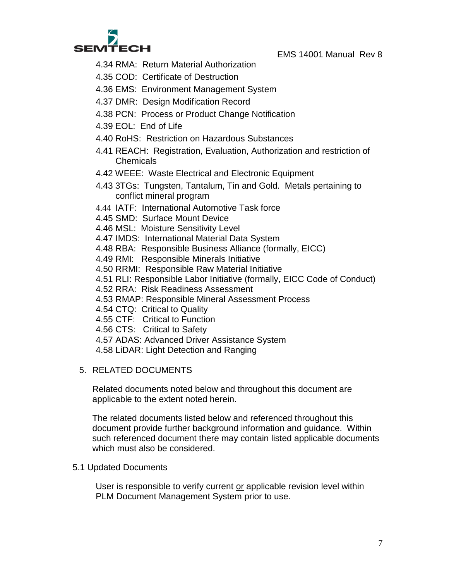

- <span id="page-6-0"></span>4.34 RMA: Return Material Authorization
- <span id="page-6-1"></span>4.35 COD: Certificate of Destruction
- <span id="page-6-2"></span>4.36 EMS: Environment Management System
- <span id="page-6-3"></span>4.37 DMR: Design Modification Record
- <span id="page-6-4"></span>4.38 PCN: Process or Product Change Notification
- <span id="page-6-5"></span>4.39 EOL: End of Life
- <span id="page-6-6"></span>4.40 RoHS: Restriction on Hazardous Substances
- <span id="page-6-7"></span>4.41 REACH: Registration, Evaluation, Authorization and restriction of **Chemicals**
- <span id="page-6-8"></span>4.42 WEEE: Waste Electrical and Electronic Equipment
- <span id="page-6-9"></span>4.43 3TGs: Tungsten, Tantalum, Tin and Gold. Metals pertaining to conflict mineral program
- 4.44 IATF: International Automotive Task force
- 4.45 SMD: Surface Mount Device
- 4.46 MSL: Moisture Sensitivity Level
- 4.47 IMDS: International Material Data System
- 4.48 RBA: Responsible Business Alliance (formally, EICC)
- 4.49 RMI: Responsible Minerals Initiative
- 4.50 RRMI: Responsible Raw Material Initiative
- 4.51 RLI: Responsible Labor Initiative (formally, EICC Code of Conduct)
- 4.52 RRA: Risk Readiness Assessment
- 4.53 RMAP: Responsible Mineral Assessment Process
- 4.54 CTQ: Critical to Quality
- 4.55 CTF: Critical to Function
- 4.56 CTS: Critical to Safety
- 4.57 ADAS: Advanced Driver Assistance System
- 4.58 LiDAR: Light Detection and Ranging

#### <span id="page-6-10"></span>5. RELATED DOCUMENTS

Related documents noted below and throughout this document are applicable to the extent noted herein.

The related documents listed below and referenced throughout this document provide further background information and guidance. Within such referenced document there may contain listed applicable documents which must also be considered.

#### <span id="page-6-11"></span>5.1 Updated Documents

User is responsible to verify current or applicable revision level within PLM Document Management System prior to use.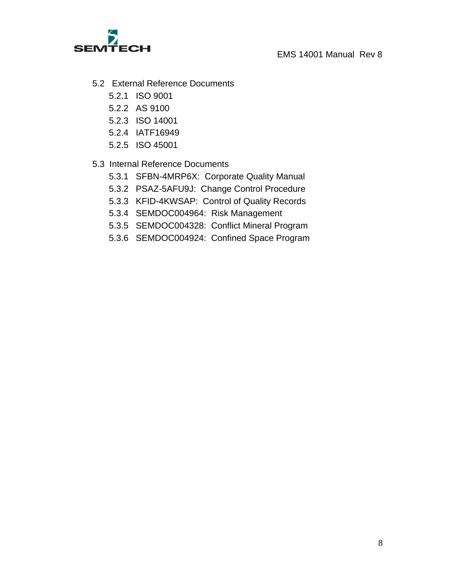

- <span id="page-7-3"></span><span id="page-7-2"></span><span id="page-7-1"></span><span id="page-7-0"></span>5.2 External Reference Documents
	- 5.2.1 ISO 9001
	- 5.2.2 AS 9100
	- 5.2.3 ISO 14001
	- 5.2.4 IATF16949
	- 5.2.5 ISO 45001

### <span id="page-7-8"></span><span id="page-7-7"></span><span id="page-7-6"></span><span id="page-7-5"></span><span id="page-7-4"></span>5.3 Internal Reference Documents

- 5.3.1 SFBN-4MRP6X: Corporate Quality Manual
- 5.3.2 [PSAZ-5AFU9J:](javascript:noaction();) Change Control Procedure
- 5.3.3 KFID-4KWSAP: Control of Quality Records
- 5.3.4 SEMDOC004964: Risk Management
- 5.3.5 SEMDOC004328: Conflict Mineral Program
- 5.3.6 SEMDOC004924: Confined Space Program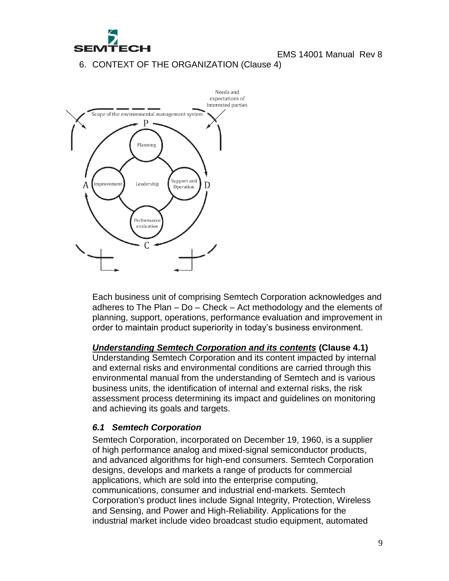

<span id="page-8-0"></span>6. CONTEXT OF THE ORGANIZATION (Clause 4)



Each business unit of comprising Semtech Corporation acknowledges and adheres to The Plan – Do – Check – Act methodology and the elements of planning, support, operations, performance evaluation and improvement in order to maintain product superiority in today's business environment.

#### *Understanding Semtech Corporation and its contents* **(Clause 4.1)**

Understanding Semtech Corporation and its content impacted by internal and external risks and environmental conditions are carried through this environmental manual from the understanding of Semtech and is various business units, the identification of internal and external risks, the risk assessment process determining its impact and guidelines on monitoring and achieving its goals and targets.

#### <span id="page-8-1"></span>*6.1 Semtech Corporation*

Semtech Corporation, incorporated on December 19, 1960, is a supplier of high performance analog and mixed-signal semiconductor products, and advanced algorithms for high-end consumers. Semtech Corporation designs, develops and markets a range of products for commercial applications, which are sold into the enterprise computing, communications, consumer and industrial end-markets. Semtech Corporation's product lines include Signal Integrity, Protection, Wireless and Sensing, and Power and High-Reliability. Applications for the industrial market include video broadcast studio equipment, automated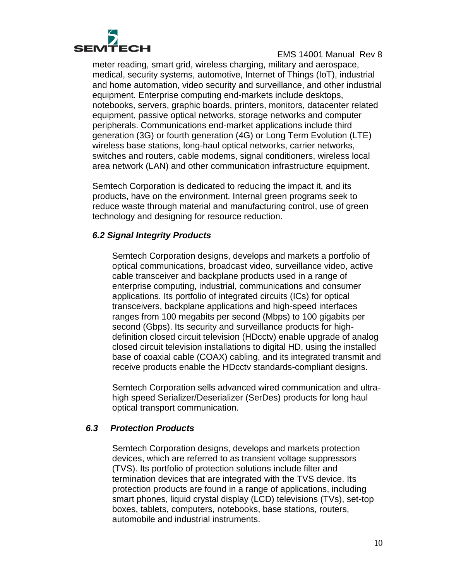

meter reading, smart grid, wireless charging, military and aerospace, medical, security systems, automotive, Internet of Things (IoT), industrial and home automation, video security and surveillance, and other industrial equipment. Enterprise computing end-markets include desktops, notebooks, servers, graphic boards, printers, monitors, datacenter related equipment, passive optical networks, storage networks and computer peripherals. Communications end-market applications include third generation (3G) or fourth generation (4G) or Long Term Evolution (LTE) wireless base stations, long-haul optical networks, carrier networks, switches and routers, cable modems, signal conditioners, wireless local area network (LAN) and other communication infrastructure equipment.

Semtech Corporation is dedicated to reducing the impact it, and its products, have on the environment. Internal green programs seek to reduce waste through material and manufacturing control, use of green technology and designing for resource reduction.

### <span id="page-9-0"></span>*6.2 Signal Integrity Products*

Semtech Corporation designs, develops and markets a portfolio of optical communications, broadcast video, surveillance video, active cable transceiver and backplane products used in a range of enterprise computing, industrial, communications and consumer applications. Its portfolio of integrated circuits (ICs) for optical transceivers, backplane applications and high-speed interfaces ranges from 100 megabits per second (Mbps) to 100 gigabits per second (Gbps). Its security and surveillance products for highdefinition closed circuit television (HDcctv) enable upgrade of analog closed circuit television installations to digital HD, using the installed base of coaxial cable (COAX) cabling, and its integrated transmit and receive products enable the HDcctv standards-compliant designs.

Semtech Corporation sells advanced wired communication and ultrahigh speed Serializer/Deserializer (SerDes) products for long haul optical transport communication.

#### <span id="page-9-1"></span>*6.3 Protection Products*

Semtech Corporation designs, develops and markets protection devices, which are referred to as transient voltage suppressors (TVS). Its portfolio of protection solutions include filter and termination devices that are integrated with the TVS device. Its protection products are found in a range of applications, including smart phones, liquid crystal display (LCD) televisions (TVs), set-top boxes, tablets, computers, notebooks, base stations, routers, automobile and industrial instruments.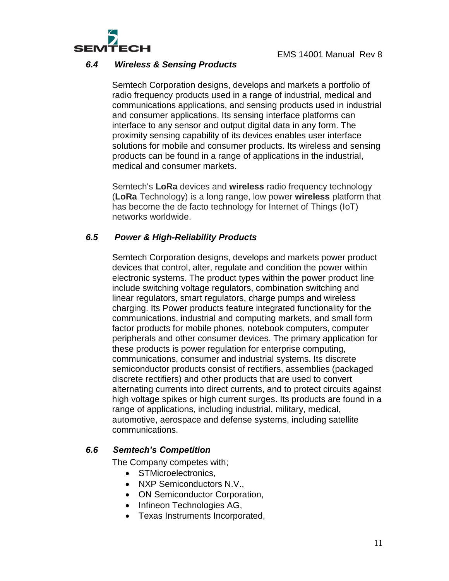

#### *6.4 Wireless & Sensing Products*

<span id="page-10-0"></span>Semtech Corporation designs, develops and markets a portfolio of radio frequency products used in a range of industrial, medical and communications applications, and sensing products used in industrial and consumer applications. Its sensing interface platforms can interface to any sensor and output digital data in any form. The proximity sensing capability of its devices enables user interface solutions for mobile and consumer products. Its wireless and sensing products can be found in a range of applications in the industrial, medical and consumer markets.

Semtech's **LoRa** devices and **wireless** radio frequency technology (**LoRa** Technology) is a long range, low power **wireless** platform that has become the de facto technology for Internet of Things (IoT) networks worldwide.

# *6.5 Power & High-Reliability Products*

<span id="page-10-1"></span>Semtech Corporation designs, develops and markets power product devices that control, alter, regulate and condition the power within electronic systems. The product types within the power product line include switching voltage regulators, combination switching and linear regulators, smart regulators, charge pumps and wireless charging. Its Power products feature integrated functionality for the communications, industrial and computing markets, and small form factor products for mobile phones, notebook computers, computer peripherals and other consumer devices. The primary application for these products is power regulation for enterprise computing, communications, consumer and industrial systems. Its discrete semiconductor products consist of rectifiers, assemblies (packaged discrete rectifiers) and other products that are used to convert alternating currents into direct currents, and to protect circuits against high voltage spikes or high current surges. Its products are found in a range of applications, including industrial, military, medical, automotive, aerospace and defense systems, including satellite communications.

#### <span id="page-10-2"></span>*6.6 Semtech's Competition*

The Company competes with;

- STMicroelectronics.
- NXP Semiconductors N.V.,
- ON Semiconductor Corporation,
- Infineon Technologies AG,
- Texas Instruments Incorporated,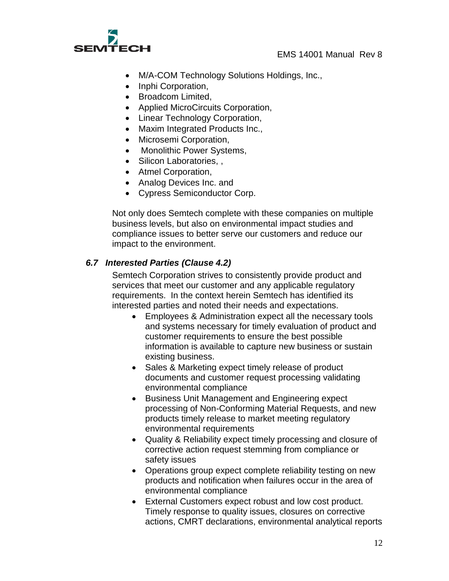

- M/A-COM Technology Solutions Holdings, Inc.,
- Inphi Corporation,
- Broadcom Limited.
- Applied MicroCircuits Corporation,
- Linear Technology Corporation,
- Maxim Integrated Products Inc.,
- Microsemi Corporation,
- Monolithic Power Systems,
- Silicon Laboratories, ,
- Atmel Corporation,
- Analog Devices Inc. and
- Cypress Semiconductor Corp.

Not only does Semtech complete with these companies on multiple business levels, but also on environmental impact studies and compliance issues to better serve our customers and reduce our impact to the environment.

#### <span id="page-11-0"></span>*6.7 Interested Parties (Clause 4.2)*

Semtech Corporation strives to consistently provide product and services that meet our customer and any applicable regulatory requirements. In the context herein Semtech has identified its interested parties and noted their needs and expectations.

- Employees & Administration expect all the necessary tools and systems necessary for timely evaluation of product and customer requirements to ensure the best possible information is available to capture new business or sustain existing business.
- Sales & Marketing expect timely release of product documents and customer request processing validating environmental compliance
- Business Unit Management and Engineering expect processing of Non-Conforming Material Requests, and new products timely release to market meeting regulatory environmental requirements
- Quality & Reliability expect timely processing and closure of corrective action request stemming from compliance or safety issues
- Operations group expect complete reliability testing on new products and notification when failures occur in the area of environmental compliance
- External Customers expect robust and low cost product. Timely response to quality issues, closures on corrective actions, CMRT declarations, environmental analytical reports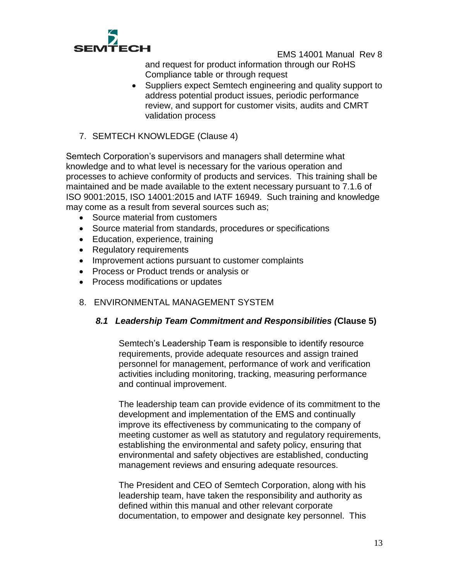

and request for product information through our RoHS Compliance table or through request

- Suppliers expect Semtech engineering and quality support to address potential product issues, periodic performance review, and support for customer visits, audits and CMRT validation process
- <span id="page-12-0"></span>7. SEMTECH KNOWLEDGE (Clause 4)

Semtech Corporation's supervisors and managers shall determine what knowledge and to what level is necessary for the various operation and processes to achieve conformity of products and services. This training shall be maintained and be made available to the extent necessary pursuant to 7.1.6 of ISO 9001:2015, ISO 14001:2015 and IATF 16949. Such training and knowledge may come as a result from several sources such as;

- Source material from customers
- Source material from standards, procedures or specifications
- Education, experience, training
- Regulatory requirements
- Improvement actions pursuant to customer complaints
- Process or Product trends or analysis or
- Process modifications or updates
- <span id="page-12-2"></span><span id="page-12-1"></span>8. ENVIRONMENTAL MANAGEMENT SYSTEM

# *8.1 Leadership Team Commitment and Responsibilities (***Clause 5)**

Semtech's Leadership Team is responsible to identify resource requirements, provide adequate resources and assign trained personnel for management, performance of work and verification activities including monitoring, tracking, measuring performance and continual improvement.

The leadership team can provide evidence of its commitment to the development and implementation of the EMS and continually improve its effectiveness by communicating to the company of meeting customer as well as statutory and regulatory requirements, establishing the environmental and safety policy, ensuring that environmental and safety objectives are established, conducting management reviews and ensuring adequate resources.

The President and CEO of Semtech Corporation, along with his leadership team, have taken the responsibility and authority as defined within this manual and other relevant corporate documentation, to empower and designate key personnel. This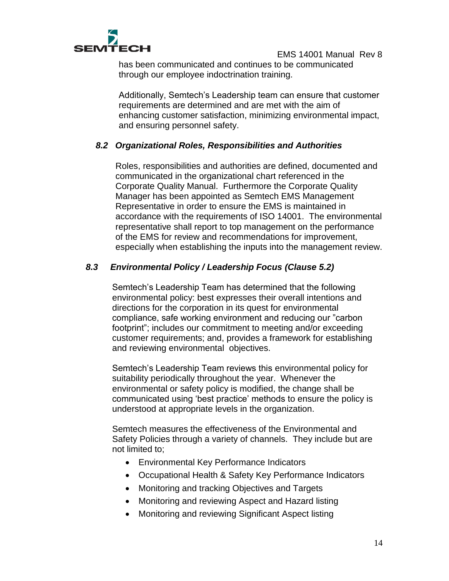

has been communicated and continues to be communicated through our employee indoctrination training.

Additionally, Semtech's Leadership team can ensure that customer requirements are determined and are met with the aim of enhancing customer satisfaction, minimizing environmental impact, and ensuring personnel safety.

### *8.2 Organizational Roles, Responsibilities and Authorities*

Roles, responsibilities and authorities are defined, documented and communicated in the organizational chart referenced in the Corporate Quality Manual. Furthermore the Corporate Quality Manager has been appointed as Semtech EMS Management Representative in order to ensure the EMS is maintained in accordance with the requirements of ISO 14001. The environmental representative shall report to top management on the performance of the EMS for review and recommendations for improvement, especially when establishing the inputs into the management review.

### <span id="page-13-0"></span>*8.3 Environmental Policy / Leadership Focus (Clause 5.2)*

Semtech's Leadership Team has determined that the following environmental policy: best expresses their overall intentions and directions for the corporation in its quest for environmental compliance, safe working environment and reducing our "carbon footprint"; includes our commitment to meeting and/or exceeding customer requirements; and, provides a framework for establishing and reviewing environmental objectives.

Semtech's Leadership Team reviews this environmental policy for suitability periodically throughout the year. Whenever the environmental or safety policy is modified, the change shall be communicated using 'best practice' methods to ensure the policy is understood at appropriate levels in the organization.

Semtech measures the effectiveness of the Environmental and Safety Policies through a variety of channels. They include but are not limited to;

- Environmental Key Performance Indicators
- Occupational Health & Safety Key Performance Indicators
- Monitoring and tracking Objectives and Targets
- Monitoring and reviewing Aspect and Hazard listing
- Monitoring and reviewing Significant Aspect listing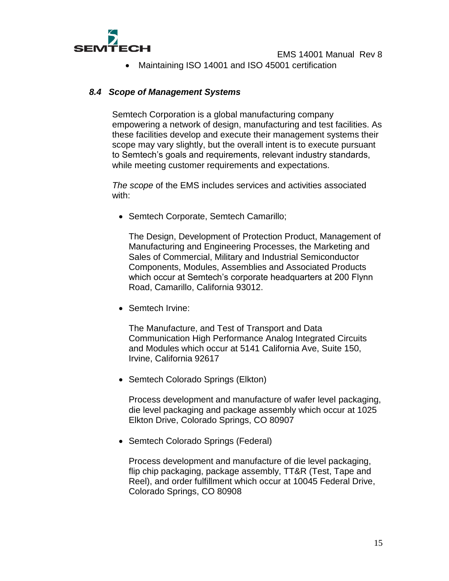

Maintaining ISO 14001 and ISO 45001 certification

#### <span id="page-14-0"></span>*8.4 Scope of Management Systems*

Semtech Corporation is a global manufacturing company empowering a network of design, manufacturing and test facilities. As these facilities develop and execute their management systems their scope may vary slightly, but the overall intent is to execute pursuant to Semtech's goals and requirements, relevant industry standards, while meeting customer requirements and expectations.

*The scope* of the EMS includes services and activities associated with:

• Semtech Corporate, Semtech Camarillo;

The Design, Development of Protection Product, Management of Manufacturing and Engineering Processes, the Marketing and Sales of Commercial, Military and Industrial Semiconductor Components, Modules, Assemblies and Associated Products which occur at Semtech's corporate headquarters at 200 Flynn Road, Camarillo, California 93012.

• Semtech Irvine:

The Manufacture, and Test of Transport and Data Communication High Performance Analog Integrated Circuits and Modules which occur at 5141 California Ave, Suite 150, Irvine, California 92617

• Semtech Colorado Springs (Elkton)

Process development and manufacture of wafer level packaging, die level packaging and package assembly which occur at 1025 Elkton Drive, Colorado Springs, CO 80907

• Semtech Colorado Springs (Federal)

Process development and manufacture of die level packaging, flip chip packaging, package assembly, TT&R (Test, Tape and Reel), and order fulfillment which occur at 10045 Federal Drive, Colorado Springs, CO 80908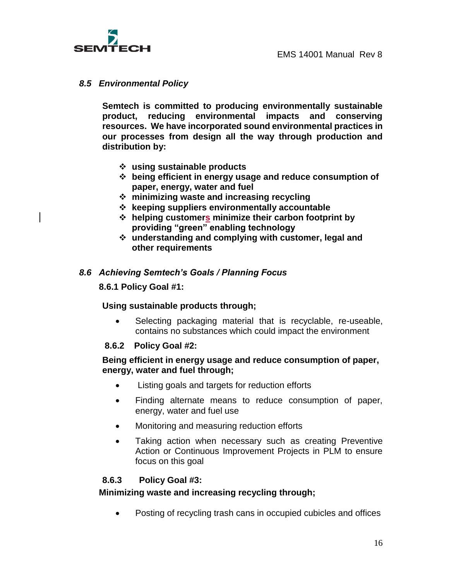

#### <span id="page-15-0"></span>*8.5 Environmental Policy*

**Semtech is committed to producing environmentally sustainable product, reducing environmental impacts and conserving resources. We have incorporated sound environmental practices in our processes from design all the way through production and distribution by:**

- **using sustainable products**
- **being efficient in energy usage and reduce consumption of paper, energy, water and fuel**
- **minimizing waste and increasing recycling**
- **keeping suppliers environmentally accountable**
- **helping customers minimize their carbon footprint by providing "green" enabling technology**
- **understanding and complying with customer, legal and other requirements**

#### <span id="page-15-2"></span><span id="page-15-1"></span>*8.6 Achieving Semtech's Goals / Planning Focus*

#### **8.6.1 Policy Goal #1:**

#### **Using sustainable products through;**

 Selecting packaging material that is recyclable, re-useable, contains no substances which could impact the environment

#### <span id="page-15-3"></span>**8.6.2 Policy Goal #2:**

#### **Being efficient in energy usage and reduce consumption of paper, energy, water and fuel through;**

- Listing goals and targets for reduction efforts
- Finding alternate means to reduce consumption of paper, energy, water and fuel use
- Monitoring and measuring reduction efforts
- Taking action when necessary such as creating Preventive Action or Continuous Improvement Projects in PLM to ensure focus on this goal

#### <span id="page-15-4"></span>**8.6.3 Policy Goal #3:**

#### **Minimizing waste and increasing recycling through;**

Posting of recycling trash cans in occupied cubicles and offices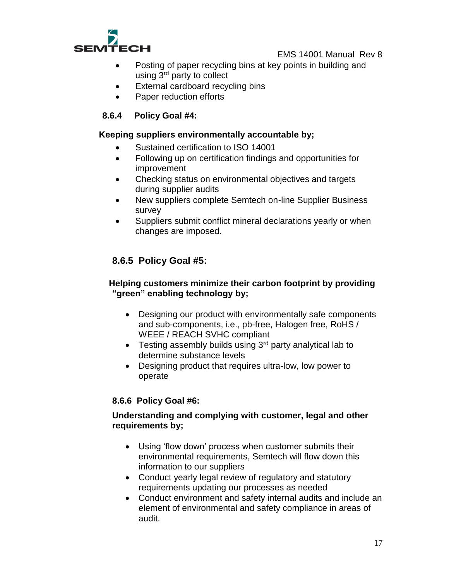

- Posting of paper recycling bins at key points in building and using 3rd party to collect
- External cardboard recycling bins
- Paper reduction efforts

# <span id="page-16-0"></span>**8.6.4 Policy Goal #4:**

#### **Keeping suppliers environmentally accountable by;**

- Sustained certification to ISO 14001
- Following up on certification findings and opportunities for improvement
- Checking status on environmental objectives and targets during supplier audits
- New suppliers complete Semtech on-line Supplier Business survey
- Suppliers submit conflict mineral declarations yearly or when changes are imposed.

# <span id="page-16-1"></span>**8.6.5 Policy Goal #5:**

## **Helping customers minimize their carbon footprint by providing "green" enabling technology by;**

- Designing our product with environmentally safe components and sub-components, i.e., pb-free, Halogen free, RoHS / WEEE / REACH SVHC compliant
- Testing assembly builds using  $3<sup>rd</sup>$  party analytical lab to determine substance levels
- Designing product that requires ultra-low, low power to operate

# <span id="page-16-2"></span>**8.6.6 Policy Goal #6:**

# **Understanding and complying with customer, legal and other requirements by;**

- Using 'flow down' process when customer submits their environmental requirements, Semtech will flow down this information to our suppliers
- Conduct yearly legal review of regulatory and statutory requirements updating our processes as needed
- Conduct environment and safety internal audits and include an element of environmental and safety compliance in areas of audit.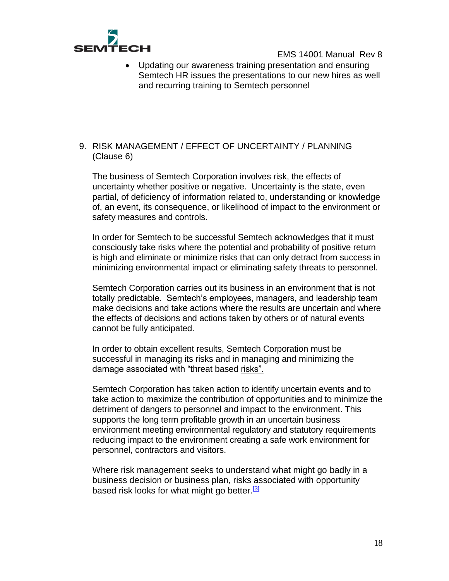

 Updating our awareness training presentation and ensuring Semtech HR issues the presentations to our new hires as well and recurring training to Semtech personnel

#### <span id="page-17-0"></span>9. RISK MANAGEMENT / EFFECT OF UNCERTAINTY / PLANNING (Clause 6)

The business of Semtech Corporation involves risk, the effects of uncertainty whether positive or negative. Uncertainty is the state, even partial, of deficiency of information related to, understanding or knowledge of, an event, its consequence, or likelihood of impact to the environment or safety measures and controls.

In order for Semtech to be successful Semtech acknowledges that it must consciously take risks where the potential and probability of positive return is high and eliminate or minimize risks that can only detract from success in minimizing environmental impact or eliminating safety threats to personnel.

Semtech Corporation carries out its business in an environment that is not totally predictable. Semtech's employees, managers, and leadership team make decisions and take actions where the results are uncertain and where the effects of decisions and actions taken by others or of natural events cannot be fully anticipated.

In order to obtain excellent results, Semtech Corporation must be successful in managing its risks and in managing and minimizing the damage associated with "threat based risks".

Semtech Corporation has taken action to identify uncertain events and to take action to maximize the contribution of opportunities and to minimize the detriment of dangers to personnel and impact to the environment. This supports the long term profitable growth in an uncertain business environment meeting environmental regulatory and statutory requirements reducing impact to the environment creating a safe work environment for personnel, contractors and visitors.

Where risk management seeks to understand what might go badly in a business decision or business plan, risks associated with opportunity based risk looks for what might go better.<sup>[3]</sup>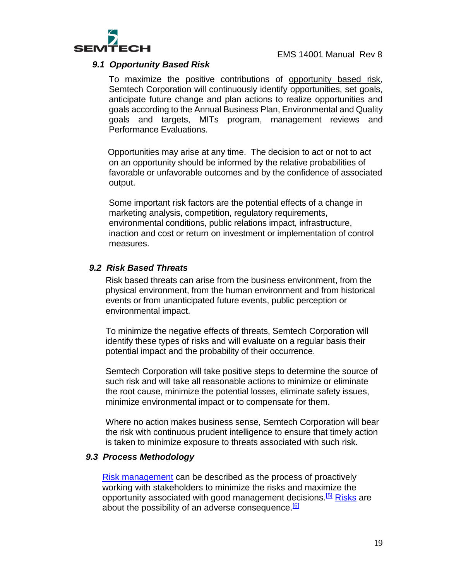

#### <span id="page-18-0"></span>*9.1 Opportunity Based Risk*

To maximize the positive contributions of opportunity based risk, Semtech Corporation will continuously identify opportunities, set goals, anticipate future change and plan actions to realize opportunities and goals according to the Annual Business Plan, Environmental and Quality goals and targets, MITs program, management reviews and Performance Evaluations.

Opportunities may arise at any time. The decision to act or not to act on an opportunity should be informed by the relative probabilities of favorable or unfavorable outcomes and by the confidence of associated output.

Some important risk factors are the potential effects of a change in marketing analysis, competition, regulatory requirements, environmental conditions, public relations impact, infrastructure, inaction and cost or return on investment or implementation of control measures.

#### <span id="page-18-1"></span>*9.2 Risk Based Threats*

Risk based threats can arise from the business environment, from the physical environment, from the human environment and from historical events or from unanticipated future events, public perception or environmental impact.

To minimize the negative effects of threats, Semtech Corporation will identify these types of risks and will evaluate on a regular basis their potential impact and the probability of their occurrence.

Semtech Corporation will take positive steps to determine the source of such risk and will take all reasonable actions to minimize or eliminate the root cause, minimize the potential losses, eliminate safety issues, minimize environmental impact or to compensate for them.

Where no action makes business sense, Semtech Corporation will bear the risk with continuous prudent intelligence to ensure that timely action is taken to minimize exposure to threats associated with such risk.

#### <span id="page-18-2"></span>*9.3 Process Methodology*

[Risk management](https://en.wikipedia.org/wiki/Risk_management) can be described as the process of proactively working with stakeholders to minimize the risks and maximize the opportunity associated with good management decisions.<sup>[\[5\]](https://en.wikipedia.org/wiki/Opportunity_management#cite_note-Loosemore-5)</sup> [Risks](https://en.wikipedia.org/wiki/Risk) are about the possibility of an adverse consequence.<sup>[\[6\]](https://en.wikipedia.org/wiki/Opportunity_management#cite_note-6)</sup>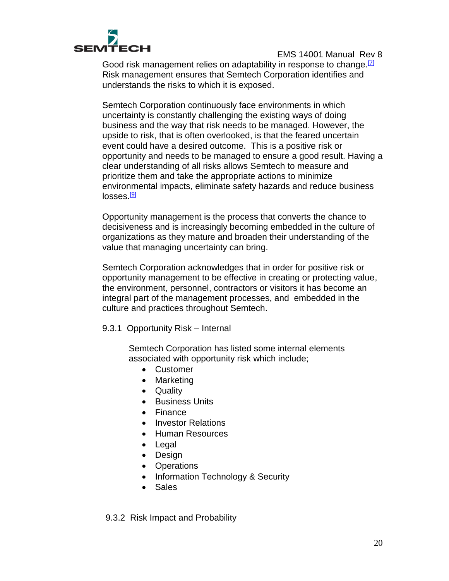

Good risk management relies on adaptability in response to change.  $[7]$ Risk management ensures that Semtech Corporation identifies and understands the risks to which it is exposed.

Semtech Corporation continuously face environments in which uncertainty is constantly challenging the existing ways of doing business and the way that risk needs to be managed. However, the upside to risk, that is often overlooked, is that the feared uncertain event could have a desired outcome. This is a positive risk or opportunity and needs to be managed to ensure a good result. Having a clear understanding of all risks allows Semtech to measure and prioritize them and take the appropriate actions to minimize environmental impacts, eliminate safety hazards and reduce business losses.<sup>[\[9\]](https://en.wikipedia.org/wiki/Opportunity_management#cite_note-9)</sup>

Opportunity management is the process that converts the chance to decisiveness and is increasingly becoming embedded in the culture of organizations as they mature and broaden their understanding of the value that managing uncertainty can bring.

Semtech Corporation acknowledges that in order for positive risk or opportunity management to be effective in creating or protecting value, the environment, personnel, contractors or visitors it has become an integral part of the management processes, and embedded in the culture and practices throughout Semtech.

9.3.1 Opportunity Risk – Internal

Semtech Corporation has listed some internal elements associated with opportunity risk which include;

- Customer
- Marketing
- Quality
- **•** Business Units
- Finance
- Investor Relations
- Human Resources
- Legal
- Design
- Operations
- Information Technology & Security
- Sales

9.3.2 Risk Impact and Probability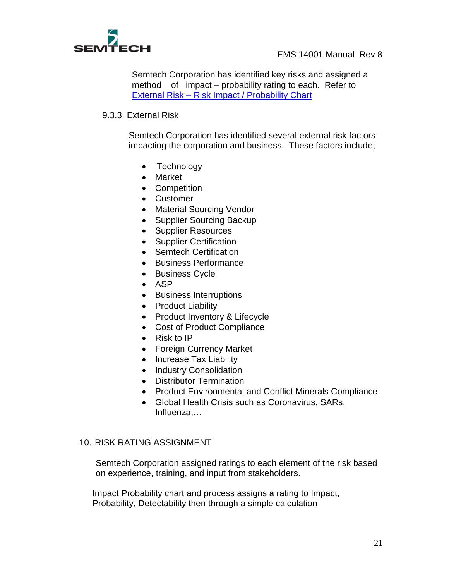

Semtech Corporation has identified key risks and assigned a method of impact – probability rating to each. Refer to External Risk – Risk Impact / Probability Chart

#### 9.3.3 External Risk

Semtech Corporation has identified several external risk factors impacting the corporation and business. These factors include;

- Technology
- Market
- Competition
- Customer
- Material Sourcing Vendor
- Supplier Sourcing Backup
- Supplier Resources
- Supplier Certification
- Semtech Certification
- Business Performance
- Business Cycle
- $-$  ASP
- Business Interruptions
- Product Liability
- Product Inventory & Lifecycle
- Cost of Product Compliance
- $\bullet$  Risk to IP
- Foreign Currency Market
- Increase Tax Liability
- Industry Consolidation
- Distributor Termination
- Product Environmental and Conflict Minerals Compliance
- Global Health Crisis such as Coronavirus, SARs, Influenza,…

#### <span id="page-20-0"></span>10. RISK RATING ASSIGNMENT

Semtech Corporation assigned ratings to each element of the risk based on experience, training, and input from stakeholders.

Impact Probability chart and process assigns a rating to Impact, Probability, Detectability then through a simple calculation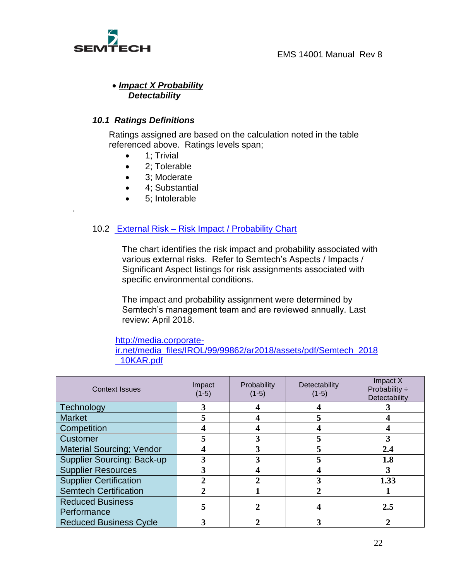

.

#### *Impact X Probability Detectability*

#### <span id="page-21-0"></span>*10.1 Ratings Definitions*

Ratings assigned are based on the calculation noted in the table referenced above. Ratings levels span;

- 1; Trivial
- 2: Tolerable
- 3; Moderate
- 4; Substantial
- 5; Intolerable

#### 10.2 External Risk – Risk Impact / Probability Chart

The chart identifies the risk impact and probability associated with various external risks. Refer to Semtech's Aspects / Impacts / Significant Aspect listings for risk assignments associated with specific environmental conditions.

The impact and probability assignment were determined by Semtech's management team and are reviewed annually. Last review: April 2018.

#### [http://media.corporate-](http://media.corporate-ir.net/media_files/IROL/99/99862/ar2018/assets/pdf/Semtech_2018_10KAR.pdf)

[ir.net/media\\_files/IROL/99/99862/ar2018/assets/pdf/Semtech\\_2018](http://media.corporate-ir.net/media_files/IROL/99/99862/ar2018/assets/pdf/Semtech_2018_10KAR.pdf) [\\_10KAR.pdf](http://media.corporate-ir.net/media_files/IROL/99/99862/ar2018/assets/pdf/Semtech_2018_10KAR.pdf)

| <b>Context Issues</b>             | Impact<br>$(1-5)$ | Probability<br>$(1-5)$ | Detectability<br>$(1-5)$ | Impact X<br>Probability $\div$<br>Detectability |
|-----------------------------------|-------------------|------------------------|--------------------------|-------------------------------------------------|
| Technology                        |                   |                        |                          |                                                 |
| <b>Market</b>                     |                   |                        |                          |                                                 |
| Competition                       |                   |                        |                          |                                                 |
| Customer                          |                   | 3                      |                          |                                                 |
| <b>Material Sourcing; Vendor</b>  |                   | 3                      |                          | 2.4                                             |
| <b>Supplier Sourcing: Back-up</b> |                   |                        |                          | 1.8                                             |
| <b>Supplier Resources</b>         |                   |                        |                          |                                                 |
| <b>Supplier Certification</b>     |                   |                        |                          | 1.33                                            |
| <b>Semtech Certification</b>      |                   |                        |                          |                                                 |
| <b>Reduced Business</b>           |                   |                        |                          | 2.5                                             |
| Performance                       |                   |                        |                          |                                                 |
| <b>Reduced Business Cycle</b>     |                   |                        |                          |                                                 |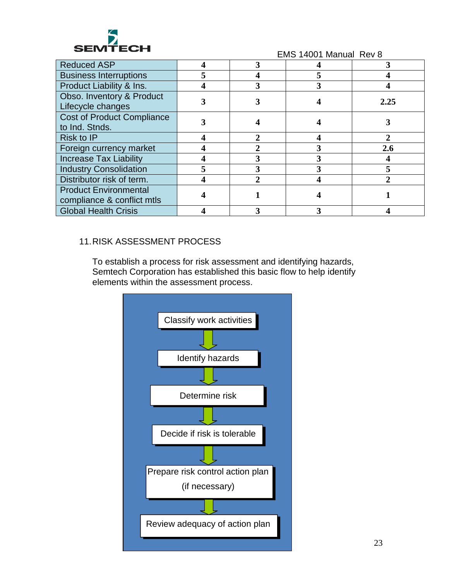

| <b>Reduced ASP</b>                                         |  |      |
|------------------------------------------------------------|--|------|
| <b>Business Interruptions</b>                              |  |      |
| Product Liability & Ins.                                   |  |      |
| Obso. Inventory & Product<br>Lifecycle changes             |  | 2.25 |
| <b>Cost of Product Compliance</b><br>to Ind. Stnds.        |  |      |
| <b>Risk to IP</b>                                          |  |      |
| Foreign currency market                                    |  | 2.6  |
| <b>Increase Tax Liability</b>                              |  |      |
| <b>Industry Consolidation</b>                              |  |      |
| Distributor risk of term.                                  |  |      |
| <b>Product Environmental</b><br>compliance & conflict mtls |  |      |
| <b>Global Health Crisis</b>                                |  |      |

# <span id="page-22-0"></span>11.RISK ASSESSMENT PROCESS

To establish a process for risk assessment and identifying hazards, Semtech Corporation has established this basic flow to help identify elements within the assessment process.

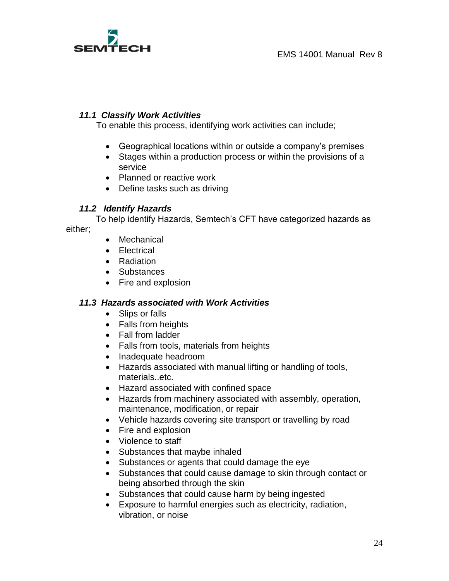

### *11.1 Classify Work Activities*

To enable this process, identifying work activities can include;

- Geographical locations within or outside a company's premises
- Stages within a production process or within the provisions of a service
- Planned or reactive work
- Define tasks such as driving

### *11.2 Identify Hazards*

To help identify Hazards, Semtech's CFT have categorized hazards as either;

- Mechanical
- Electrical
- Radiation
- Substances
- Fire and explosion

#### *11.3 Hazards associated with Work Activities*

- Slips or falls
- Falls from heights
- Fall from ladder
- Falls from tools, materials from heights
- Inadequate headroom
- Hazards associated with manual lifting or handling of tools, materials..etc.
- Hazard associated with confined space
- Hazards from machinery associated with assembly, operation, maintenance, modification, or repair
- Vehicle hazards covering site transport or travelling by road
- Fire and explosion
- Violence to staff
- Substances that maybe inhaled
- Substances or agents that could damage the eye
- Substances that could cause damage to skin through contact or being absorbed through the skin
- Substances that could cause harm by being ingested
- Exposure to harmful energies such as electricity, radiation, vibration, or noise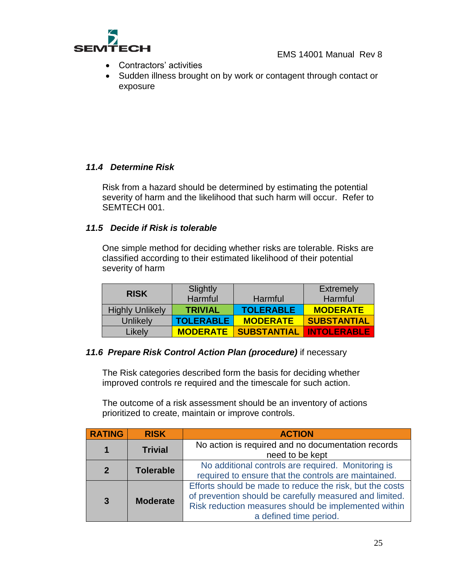

- Contractors' activities
- Sudden illness brought on by work or contagent through contact or exposure

# *11.4 Determine Risk*

Risk from a hazard should be determined by estimating the potential severity of harm and the likelihood that such harm will occur. Refer to SEMTECH 001.

#### *11.5 Decide if Risk is tolerable*

One simple method for deciding whether risks are tolerable. Risks are classified according to their estimated likelihood of their potential severity of harm

|                        | Slightly         |                    | <b>Extremely</b>   |
|------------------------|------------------|--------------------|--------------------|
| <b>RISK</b>            | Harmful          | Harmful            | Harmful            |
| <b>Highly Unlikely</b> | <b>TRIVIAL</b>   | <b>TOLERABLE</b>   | <b>MODERATE</b>    |
| Unlikely               | <b>TOLERABLE</b> | <b>MODERATE</b>    | <b>SUBSTANTIAL</b> |
| <b>Likely</b>          | <b>MODERATE</b>  | <b>SUBSTANTIAL</b> | <b>INTOLERABLE</b> |

#### *11.6 Prepare Risk Control Action Plan (procedure)* if necessary

The Risk categories described form the basis for deciding whether improved controls re required and the timescale for such action.

The outcome of a risk assessment should be an inventory of actions prioritized to create, maintain or improve controls.

| <b>RATING</b>  | <b>RISK</b>      | <b>ACTION</b>                                                                                                                                                                                         |
|----------------|------------------|-------------------------------------------------------------------------------------------------------------------------------------------------------------------------------------------------------|
| 1              | <b>Trivial</b>   | No action is required and no documentation records<br>need to be kept                                                                                                                                 |
| $\overline{2}$ | <b>Tolerable</b> | No additional controls are required. Monitoring is<br>required to ensure that the controls are maintained.                                                                                            |
| $\overline{3}$ | <b>Moderate</b>  | Efforts should be made to reduce the risk, but the costs<br>of prevention should be carefully measured and limited.<br>Risk reduction measures should be implemented within<br>a defined time period. |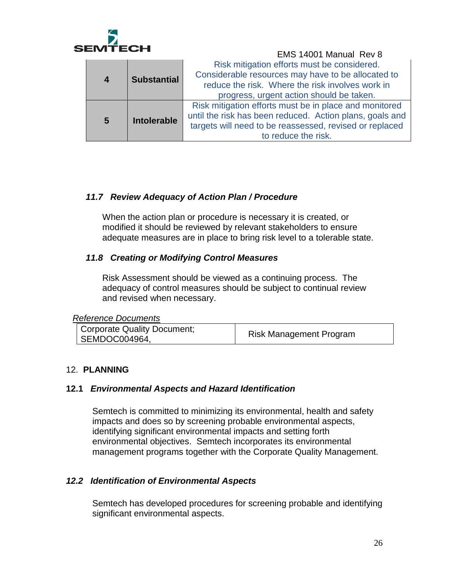

|                |                                               | EMS 14001 Manual Rev 8                                   |
|----------------|-----------------------------------------------|----------------------------------------------------------|
|                |                                               | Risk mitigation efforts must be considered.              |
|                | $\overline{\mathbf{4}}$<br><b>Substantial</b> | Considerable resources may have to be allocated to       |
|                |                                               | reduce the risk. Where the risk involves work in         |
|                |                                               | progress, urgent action should be taken.                 |
| $5\phantom{1}$ |                                               | Risk mitigation efforts must be in place and monitored   |
|                | <b>Intolerable</b>                            | until the risk has been reduced. Action plans, goals and |
|                |                                               | targets will need to be reassessed, revised or replaced  |
|                |                                               | to reduce the risk.                                      |

### *11.7 Review Adequacy of Action Plan / Procedure*

When the action plan or procedure is necessary it is created, or modified it should be reviewed by relevant stakeholders to ensure adequate measures are in place to bring risk level to a tolerable state.

### *11.8 Creating or Modifying Control Measures*

Risk Assessment should be viewed as a continuing process. The adequacy of control measures should be subject to continual review and revised when necessary.

| Corporate Quality Document;<br>SEMDOC004964, | <b>Risk Management Program</b> |
|----------------------------------------------|--------------------------------|
|                                              |                                |

#### <span id="page-25-0"></span>12. **PLANNING**

#### <span id="page-25-1"></span>**12.1** *Environmental Aspects and Hazard Identification*

Semtech is committed to minimizing its environmental, health and safety impacts and does so by screening probable environmental aspects, identifying significant environmental impacts and setting forth environmental objectives. Semtech incorporates its environmental management programs together with the Corporate Quality Management.

#### <span id="page-25-2"></span>*12.2 Identification of Environmental Aspects*

Semtech has developed procedures for screening probable and identifying significant environmental aspects.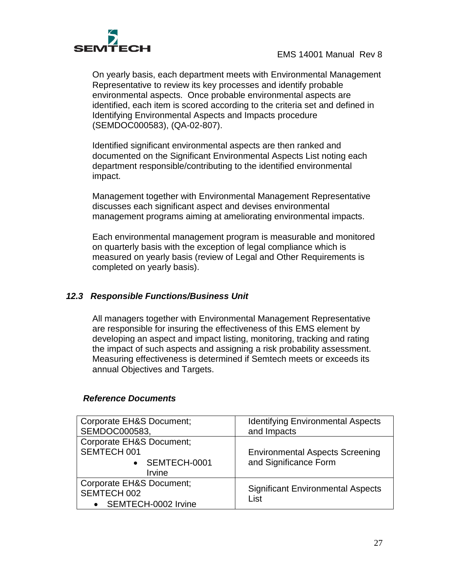

On yearly basis, each department meets with Environmental Management Representative to review its key processes and identify probable environmental aspects. Once probable environmental aspects are identified, each item is scored according to the criteria set and defined in Identifying Environmental Aspects and Impacts procedure (SEMDOC000583), (QA-02-807).

Identified significant environmental aspects are then ranked and documented on the Significant Environmental Aspects List noting each department responsible/contributing to the identified environmental impact.

Management together with Environmental Management Representative discusses each significant aspect and devises environmental management programs aiming at ameliorating environmental impacts.

Each environmental management program is measurable and monitored on quarterly basis with the exception of legal compliance which is measured on yearly basis (review of Legal and Other Requirements is completed on yearly basis).

#### <span id="page-26-0"></span>*12.3 Responsible Functions/Business Unit*

All managers together with Environmental Management Representative are responsible for insuring the effectiveness of this EMS element by developing an aspect and impact listing, monitoring, tracking and rating the impact of such aspects and assigning a risk probability assessment. Measuring effectiveness is determined if Semtech meets or exceeds its annual Objectives and Targets.

#### *Reference Documents*

| Corporate EH&S Document;<br>SEMDOC000583,                           | <b>Identifying Environmental Aspects</b><br>and Impacts         |
|---------------------------------------------------------------------|-----------------------------------------------------------------|
| Corporate EH&S Document;<br>SEMTECH 001<br>• SEMTECH-0001<br>Irvine | <b>Environmental Aspects Screening</b><br>and Significance Form |
| Corporate EH&S Document;<br>SEMTECH 002<br>SEMTECH-0002 Irvine      | <b>Significant Environmental Aspects</b><br>List                |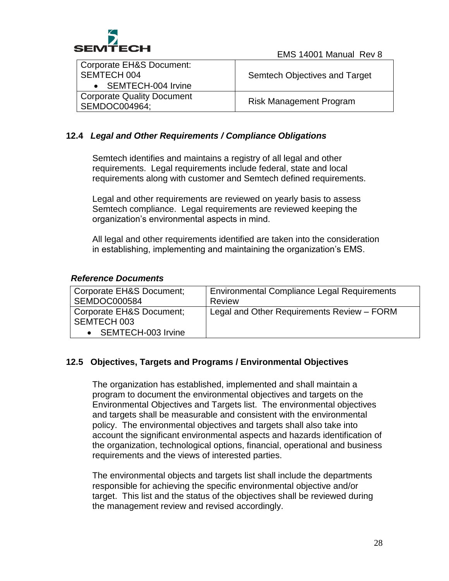

| Corporate EH&S Document:<br>SEMTECH 004<br>• SEMTECH-004 Irvine | Semtech Objectives and Target  |
|-----------------------------------------------------------------|--------------------------------|
| Corporate Quality Document<br>SEMDOC004964;                     | <b>Risk Management Program</b> |

## <span id="page-27-0"></span>**12.4** *Legal and Other Requirements / Compliance Obligations*

Semtech identifies and maintains a registry of all legal and other requirements. Legal requirements include federal, state and local requirements along with customer and Semtech defined requirements.

Legal and other requirements are reviewed on yearly basis to assess Semtech compliance. Legal requirements are reviewed keeping the organization's environmental aspects in mind.

All legal and other requirements identified are taken into the consideration in establishing, implementing and maintaining the organization's EMS.

#### *Reference Documents*

| Corporate EH&S Document;<br>SEMDOC000584 | <b>Environmental Compliance Legal Requirements</b><br>Review |
|------------------------------------------|--------------------------------------------------------------|
| Corporate EH&S Document;<br>SEMTECH 003  | Legal and Other Requirements Review - FORM                   |
| • SEMTECH-003 Irvine                     |                                                              |

#### <span id="page-27-1"></span>**12.5 Objectives, Targets and Programs / Environmental Objectives**

The organization has established, implemented and shall maintain a program to document the environmental objectives and targets on the Environmental Objectives and Targets list. The environmental objectives and targets shall be measurable and consistent with the environmental policy. The environmental objectives and targets shall also take into account the significant environmental aspects and hazards identification of the organization, technological options, financial, operational and business requirements and the views of interested parties.

The environmental objects and targets list shall include the departments responsible for achieving the specific environmental objective and/or target. This list and the status of the objectives shall be reviewed during the management review and revised accordingly.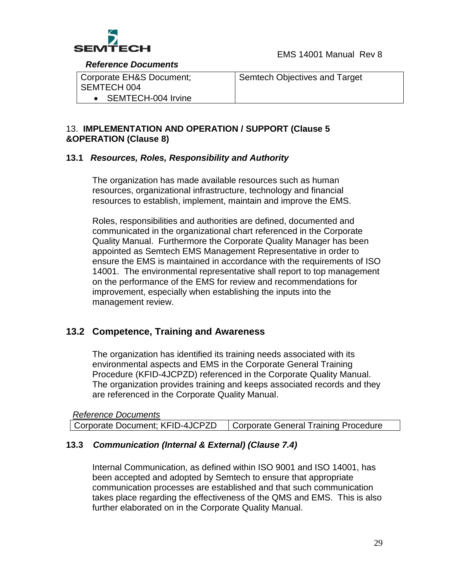

 *Reference Documents* 

| Corporate EH&S Document; | Semtech Objectives and Target |
|--------------------------|-------------------------------|
| SEMTECH 004              |                               |
| • SEMTECH-004 Irvine     |                               |

### <span id="page-28-0"></span>13. **IMPLEMENTATION AND OPERATION / SUPPORT (Clause 5 &OPERATION (Clause 8)**

#### <span id="page-28-1"></span>**13.1** *Resources, Roles, Responsibility and Authority*

The organization has made available resources such as human resources, organizational infrastructure, technology and financial resources to establish, implement, maintain and improve the EMS.

Roles, responsibilities and authorities are defined, documented and communicated in the organizational chart referenced in the Corporate Quality Manual. Furthermore the Corporate Quality Manager has been appointed as Semtech EMS Management Representative in order to ensure the EMS is maintained in accordance with the requirements of ISO 14001. The environmental representative shall report to top management on the performance of the EMS for review and recommendations for improvement, especially when establishing the inputs into the management review.

# <span id="page-28-2"></span>**13.2 Competence, Training and Awareness**

The organization has identified its training needs associated with its environmental aspects and EMS in the Corporate General Training Procedure (KFID-4JCPZD) referenced in the Corporate Quality Manual. The organization provides training and keeps associated records and they are referenced in the Corporate Quality Manual.

| <b>Reference Documents</b>      |                                      |
|---------------------------------|--------------------------------------|
| Corporate Document; KFID-4JCPZD | Corporate General Training Procedure |

# <span id="page-28-3"></span>**13.3** *Communication (Internal & External) (Clause 7.4)*

Internal Communication, as defined within ISO 9001 and ISO 14001, has been accepted and adopted by Semtech to ensure that appropriate communication processes are established and that such communication takes place regarding the effectiveness of the QMS and EMS. This is also further elaborated on in the Corporate Quality Manual.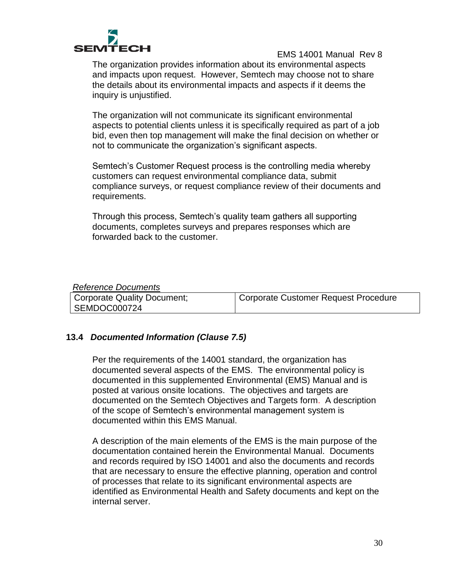

The organization provides information about its environmental aspects and impacts upon request. However, Semtech may choose not to share the details about its environmental impacts and aspects if it deems the inquiry is unjustified.

The organization will not communicate its significant environmental aspects to potential clients unless it is specifically required as part of a job bid, even then top management will make the final decision on whether or not to communicate the organization's significant aspects.

Semtech's Customer Request process is the controlling media whereby customers can request environmental compliance data, submit compliance surveys, or request compliance review of their documents and requirements.

Through this process, Semtech's quality team gathers all supporting documents, completes surveys and prepares responses which are forwarded back to the customer.

#### *Reference Documents*

| <b>Corporate Quality Document;</b> | Corporate Customer Request Procedure |
|------------------------------------|--------------------------------------|
| SEMDOC000724                       |                                      |

#### <span id="page-29-0"></span>**13.4** *Documented Information (Clause 7.5)*

Per the requirements of the 14001 standard, the organization has documented several aspects of the EMS. The environmental policy is documented in this supplemented Environmental (EMS) Manual and is posted at various onsite locations. The objectives and targets are documented on the Semtech Objectives and Targets form. A description of the scope of Semtech's environmental management system is documented within this EMS Manual.

A description of the main elements of the EMS is the main purpose of the documentation contained herein the Environmental Manual. Documents and records required by ISO 14001 and also the documents and records that are necessary to ensure the effective planning, operation and control of processes that relate to its significant environmental aspects are identified as Environmental Health and Safety documents and kept on the internal server.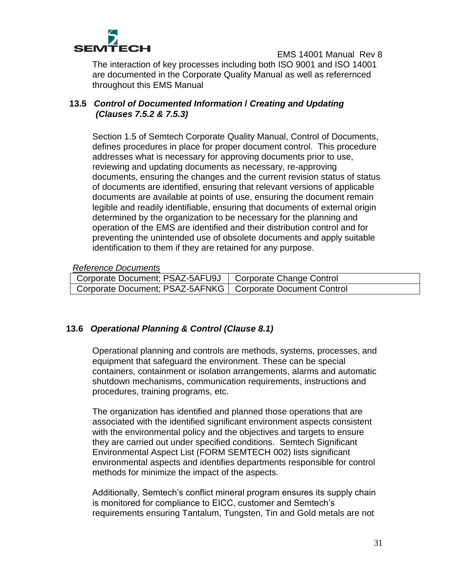

The interaction of key processes including both ISO 9001 and ISO 14001 are documented in the Corporate Quality Manual as well as referernced throughout this EMS Manual

## <span id="page-30-0"></span>**13.5** *Control of Documented Information* **/** *Creating and Updating (Clauses 7.5.2 & 7.5.3)*

Section 1.5 of Semtech Corporate Quality Manual, Control of Documents, defines procedures in place for proper document control. This procedure addresses what is necessary for approving documents prior to use, reviewing and updating documents as necessary, re-approving documents, ensuring the changes and the current revision status of status of documents are identified, ensuring that relevant versions of applicable documents are available at points of use, ensuring the document remain legible and readily identifiable, ensuring that documents of external origin determined by the organization to be necessary for the planning and operation of the EMS are identified and their distribution control and for preventing the unintended use of obsolete documents and apply suitable identification to them if they are retained for any purpose.

*Reference Documents* 

| Corporate Document; PSAZ-5AFU9J   Corporate Change Control   |  |
|--------------------------------------------------------------|--|
| Corporate Document; PSAZ-5AFNKG   Corporate Document Control |  |

#### <span id="page-30-1"></span>**13.6** *Operational Planning & Control (Clause 8.1)*

Operational planning and controls are methods, systems, processes, and equipment that safeguard the environment. These can be special containers, containment or isolation arrangements, alarms and automatic shutdown mechanisms, communication requirements, instructions and procedures, training programs, etc.

The organization has identified and planned those operations that are associated with the identified significant environment aspects consistent with the environmental policy and the objectives and targets to ensure they are carried out under specified conditions. Semtech Significant Environmental Aspect List (FORM SEMTECH 002) lists significant environmental aspects and identifies departments responsible for control methods for minimize the impact of the aspects.

Additionally, Semtech's conflict mineral program ensures its supply chain is monitored for compliance to EICC, customer and Semtech's requirements ensuring Tantalum, Tungsten, Tin and Gold metals are not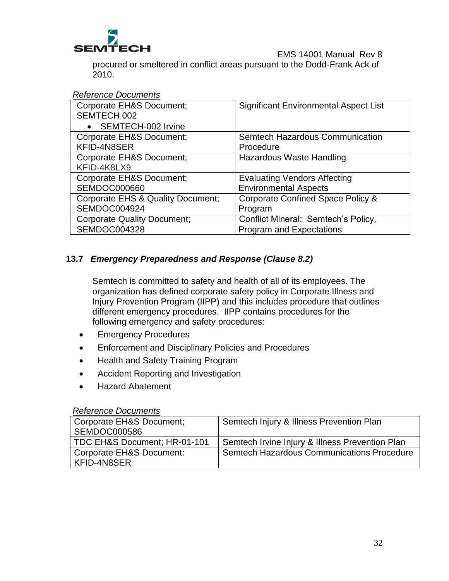

procured or smeltered in conflict areas pursuant to the Dodd-Frank Ack of 2010.

#### *Reference Documents*

| <b>Corporate EH&amp;S Document;</b><br>SEMTECH 002 | <b>Significant Environmental Aspect List</b> |
|----------------------------------------------------|----------------------------------------------|
| SEMTECH-002 Irvine                                 |                                              |
| <b>Corporate EH&amp;S Document;</b>                | Semtech Hazardous Communication              |
| KFID-4N8SER                                        | Procedure                                    |
| Corporate EH&S Document;                           | Hazardous Waste Handling                     |
| KFID-4K8LX9                                        |                                              |
| <b>Corporate EH&amp;S Document;</b>                | <b>Evaluating Vendors Affecting</b>          |
| <b>SEMDOC000660</b>                                | <b>Environmental Aspects</b>                 |
| Corporate EHS & Quality Document;                  | Corporate Confined Space Policy &            |
| SEMDOC004924                                       | Program                                      |
| <b>Corporate Quality Document;</b>                 | Conflict Mineral: Semtech's Policy,          |
| SEMDOC004328                                       | <b>Program and Expectations</b>              |

# <span id="page-31-0"></span>**13.7** *Emergency Preparedness and Response (Clause 8.2)*

Semtech is committed to safety and health of all of its employees. The organization has defined corporate safety policy in Corporate Illness and Injury Prevention Program (IIPP) and this includes procedure that outlines different emergency procedures. IIPP contains procedures for the following emergency and safety procedures:

- Emergency Procedures
- Enforcement and Disciplinary Policies and Procedures
- Health and Safety Training Program
- Accident Reporting and Investigation
- Hazard Abatement

#### *Reference Documents*

| Corporate EH&S Document;     | Semtech Injury & Illness Prevention Plan        |
|------------------------------|-------------------------------------------------|
| SEMDOC000586                 |                                                 |
| TDC EH&S Document; HR-01-101 | Semtech Irvine Injury & Illness Prevention Plan |
| Corporate EH&S Document:     | Semtech Hazardous Communications Procedure      |
| KFID-4N8SER                  |                                                 |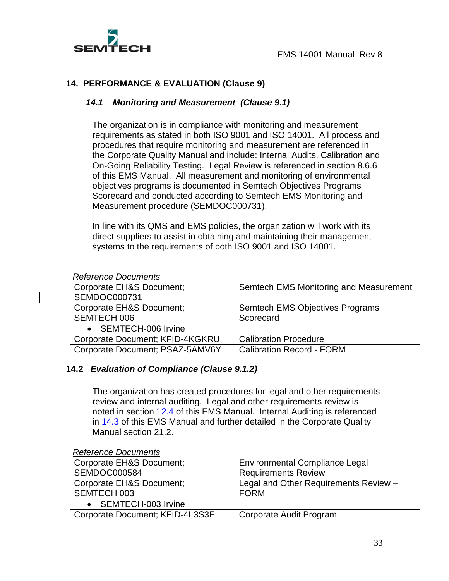

### <span id="page-32-1"></span><span id="page-32-0"></span>**14. PERFORMANCE & EVALUATION (Clause 9)**

#### *14.1**Monitoring and Measurement (Clause 9.1)*

The organization is in compliance with monitoring and measurement requirements as stated in both ISO 9001 and ISO 14001. All process and procedures that require monitoring and measurement are referenced in the Corporate Quality Manual and include: Internal Audits, Calibration and On-Going Reliability Testing. Legal Review is referenced in section 8.6.6 of this EMS Manual. All measurement and monitoring of environmental objectives programs is documented in Semtech Objectives Programs Scorecard and conducted according to Semtech EMS Monitoring and Measurement procedure (SEMDOC000731).

In line with its QMS and EMS policies, the organization will work with its direct suppliers to assist in obtaining and maintaining their management systems to the requirements of both ISO 9001 and ISO 14001.

#### *Reference Documents*

| Corporate EH&S Document;        | Semtech EMS Monitoring and Measurement |
|---------------------------------|----------------------------------------|
| SEMDOC000731                    |                                        |
| Corporate EH&S Document;        | Semtech EMS Objectives Programs        |
| <b>SEMTECH 006</b>              | Scorecard                              |
| • SEMTECH-006 Irvine            |                                        |
| Corporate Document; KFID-4KGKRU | <b>Calibration Procedure</b>           |
| Corporate Document; PSAZ-5AMV6Y | <b>Calibration Record - FORM</b>       |

#### <span id="page-32-2"></span>**14.2** *Evaluation of Compliance (Clause 9.1.2)*

The organization has created procedures for legal and other requirements review and internal auditing. Legal and other requirements review is noted in section [12.4](#page-27-0) of this EMS Manual. Internal Auditing is referenced in [14.3](#page-33-0) of this EMS Manual and further detailed in the Corporate Quality Manual section 21.2.

| Corporate EH&S Document;        | <b>Environmental Compliance Legal</b> |
|---------------------------------|---------------------------------------|
| SEMDOC000584                    | <b>Requirements Review</b>            |
| Corporate EH&S Document;        | Legal and Other Requirements Review - |
| SEMTECH 003                     | <b>FORM</b>                           |
| • SEMTECH-003 Irvine            |                                       |
| Corporate Document; KFID-4L3S3E | Corporate Audit Program               |

#### *Reference Documents*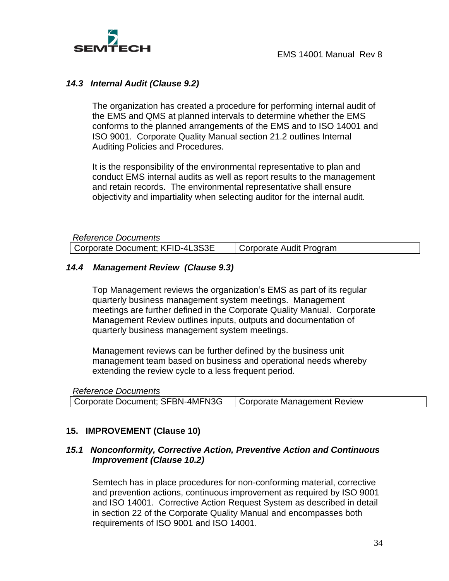

#### <span id="page-33-0"></span>*14.3**Internal Audit (Clause 9.2)*

The organization has created a procedure for performing internal audit of the EMS and QMS at planned intervals to determine whether the EMS conforms to the planned arrangements of the EMS and to ISO 14001 and ISO 9001. Corporate Quality Manual section 21.2 outlines Internal Auditing Policies and Procedures.

It is the responsibility of the environmental representative to plan and conduct EMS internal audits as well as report results to the management and retain records. The environmental representative shall ensure objectivity and impartiality when selecting auditor for the internal audit.

| Reference Documents             |                         |
|---------------------------------|-------------------------|
| Corporate Document; KFID-4L3S3E | Corporate Audit Program |

#### <span id="page-33-1"></span>*14.4 Management Review (Clause 9.3)*

Top Management reviews the organization's EMS as part of its regular quarterly business management system meetings. Management meetings are further defined in the Corporate Quality Manual. Corporate Management Review outlines inputs, outputs and documentation of quarterly business management system meetings.

Management reviews can be further defined by the business unit management team based on business and operational needs whereby extending the review cycle to a less frequent period.

| <b>Reference Documents</b>                                    |  |
|---------------------------------------------------------------|--|
| Corporate Document; SFBN-4MFN3G   Corporate Management Review |  |

#### <span id="page-33-2"></span>**15. IMPROVEMENT (Clause 10)**

#### <span id="page-33-3"></span>*15.1**Nonconformity, Corrective Action, Preventive Action and Continuous Improvement (Clause 10.2)*

Semtech has in place procedures for non-conforming material, corrective and prevention actions, continuous improvement as required by ISO 9001 and ISO 14001. Corrective Action Request System as described in detail in section 22 of the Corporate Quality Manual and encompasses both requirements of ISO 9001 and ISO 14001.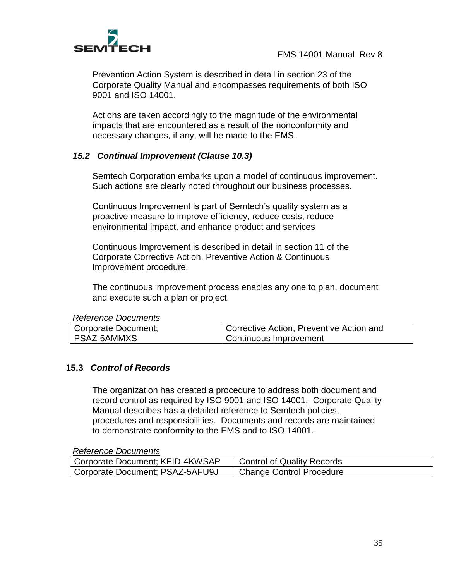

Prevention Action System is described in detail in section 23 of the Corporate Quality Manual and encompasses requirements of both ISO 9001 and ISO 14001.

Actions are taken accordingly to the magnitude of the environmental impacts that are encountered as a result of the nonconformity and necessary changes, if any, will be made to the EMS.

### *15.2 Continual Improvement (Clause 10.3)*

Semtech Corporation embarks upon a model of continuous improvement. Such actions are clearly noted throughout our business processes.

Continuous Improvement is part of Semtech's quality system as a proactive measure to improve efficiency, reduce costs, reduce environmental impact, and enhance product and services

Continuous Improvement is described in detail in section 11 of the Corporate Corrective Action, Preventive Action & Continuous Improvement procedure.

The continuous improvement process enables any one to plan, document and execute such a plan or project.

| <b>Reference Documents</b> |  |
|----------------------------|--|
|----------------------------|--|

| Corporate Document; | Corrective Action, Preventive Action and |
|---------------------|------------------------------------------|
| PSAZ-5AMMXS         | Continuous Improvement                   |

#### <span id="page-34-0"></span>**15.3** *Control of Records*

The organization has created a procedure to address both document and record control as required by ISO 9001 and ISO 14001. Corporate Quality Manual describes has a detailed reference to Semtech policies, procedures and responsibilities. Documents and records are maintained to demonstrate conformity to the EMS and to ISO 14001.

#### *Reference Documents*

| Corporate Document; KFID-4KWSAP | <b>Control of Quality Records</b> |
|---------------------------------|-----------------------------------|
| Corporate Document; PSAZ-5AFU9J | <b>Change Control Procedure</b>   |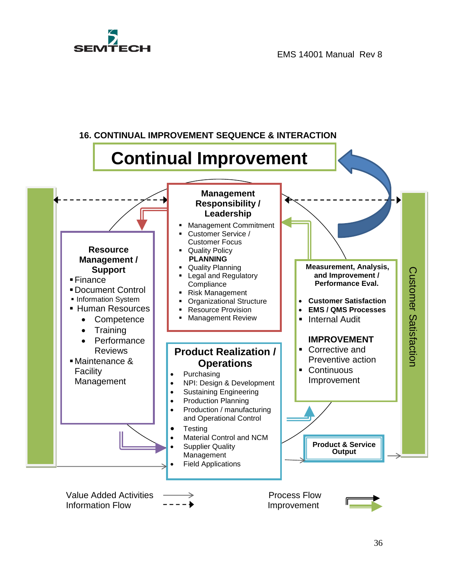# **SEM**

EMS 14001 Manual Rev 8

<span id="page-35-0"></span>

36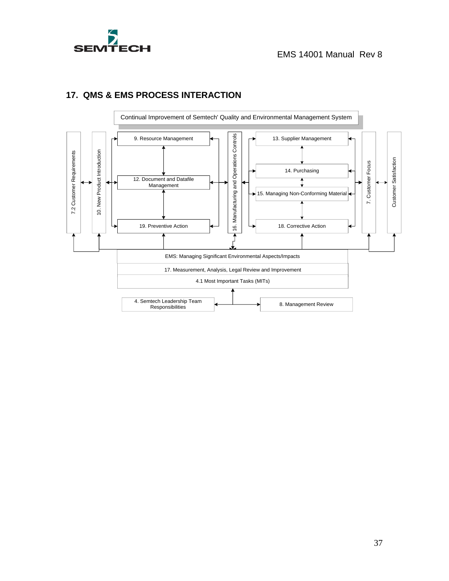



# <span id="page-36-0"></span>**17. QMS & EMS PROCESS INTERACTION**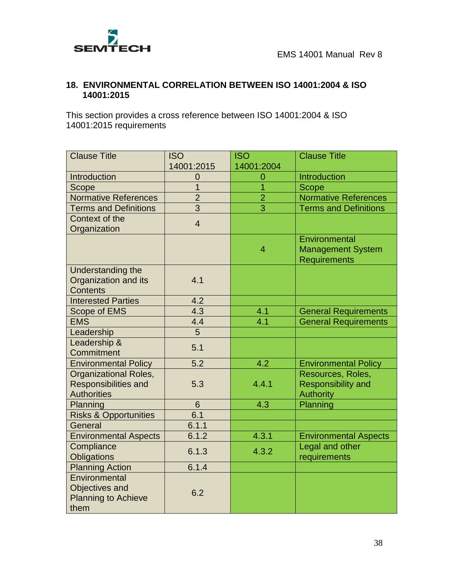

# <span id="page-37-0"></span>**18. ENVIRONMENTAL CORRELATION BETWEEN ISO 14001:2004 & ISO 14001:2015**

This section provides a cross reference between ISO 14001:2004 & ISO 14001:2015 requirements

| <b>Clause Title</b>              | <b>ISO</b>       | <b>ISO</b>     | <b>Clause Title</b>          |
|----------------------------------|------------------|----------------|------------------------------|
|                                  | 14001:2015       | 14001:2004     |                              |
| Introduction                     | 0                | $\overline{0}$ | Introduction                 |
| Scope                            | 1                | 1              | <b>Scope</b>                 |
| <b>Normative References</b>      | $\overline{2}$   | $\overline{2}$ | Normative References         |
| <b>Terms and Definitions</b>     | $\overline{3}$   | 3              | <b>Terms and Definitions</b> |
| Context of the                   | $\overline{4}$   |                |                              |
| Organization                     |                  |                |                              |
|                                  |                  |                | Environmental                |
|                                  |                  | $\overline{4}$ | <b>Management System</b>     |
|                                  |                  |                | <b>Requirements</b>          |
| Understanding the                |                  |                |                              |
| Organization and its             | 4.1              |                |                              |
| <b>Contents</b>                  |                  |                |                              |
| <b>Interested Parties</b>        | 4.2              |                |                              |
| <b>Scope of EMS</b>              | 4.3              | 4.1            | <b>General Requirements</b>  |
| <b>EMS</b>                       | 4.4              | 4.1            | <b>General Requirements</b>  |
| Leadership                       | $\overline{5}$   |                |                              |
| Leadership &                     | 5.1              |                |                              |
| Commitment                       |                  |                |                              |
| <b>Environmental Policy</b>      | $\overline{5.2}$ | 4.2            | <b>Environmental Policy</b>  |
| <b>Organizational Roles,</b>     |                  |                | Resources, Roles,            |
| <b>Responsibilities and</b>      | 5.3              | 4.4.1          | <b>Responsibility and</b>    |
| <b>Authorities</b>               |                  |                | <b>Authority</b>             |
| Planning                         | 6                | 4.3            | Planning                     |
| <b>Risks &amp; Opportunities</b> | 6.1              |                |                              |
| General                          | 6.1.1            |                |                              |
| <b>Environmental Aspects</b>     | 6.1.2            | 4.3.1          | <b>Environmental Aspects</b> |
| Compliance                       | 6.1.3            | 4.3.2          | Legal and other              |
| Obligations                      |                  |                | requirements                 |
| <b>Planning Action</b>           | 6.1.4            |                |                              |
| Environmental                    |                  |                |                              |
| Objectives and                   | 6.2              |                |                              |
| <b>Planning to Achieve</b>       |                  |                |                              |
| them                             |                  |                |                              |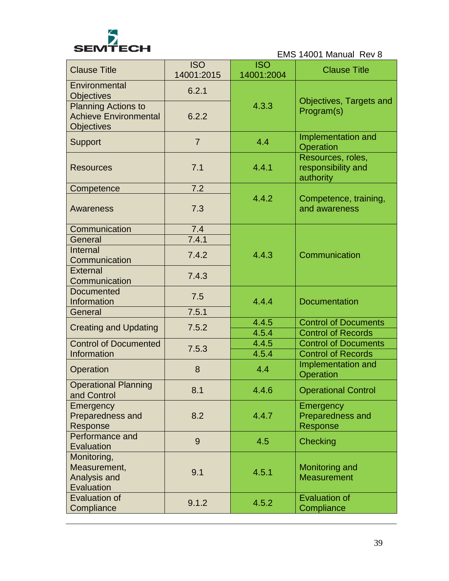

| <b>Clause Title</b>                                       | <b>ISO</b><br>14001:2015 | <b>ISO</b><br>14001:2004 | <b>Clause Title</b>                                  |
|-----------------------------------------------------------|--------------------------|--------------------------|------------------------------------------------------|
| Environmental                                             | 6.2.1                    |                          |                                                      |
| <b>Objectives</b><br><b>Planning Actions to</b>           |                          | 4.3.3                    | Objectives, Targets and<br>Program(s)                |
| <b>Achieve Environmental</b><br><b>Objectives</b>         | 6.2.2                    |                          |                                                      |
| <b>Support</b>                                            | $\overline{7}$           | 4.4                      | Implementation and<br>Operation                      |
| <b>Resources</b>                                          | 7.1                      | 4.4.1                    | Resources, roles,<br>responsibility and<br>authority |
| Competence                                                | 7.2                      |                          |                                                      |
| <b>Awareness</b>                                          | 7.3                      | 4.4.2                    | Competence, training,<br>and awareness               |
| Communication                                             | 7.4                      |                          |                                                      |
| General                                                   | 7.4.1                    |                          |                                                      |
| Internal<br>Communication                                 | 7.4.2                    | 4.4.3                    | Communication                                        |
| <b>External</b><br>Communication                          | 7.4.3                    |                          |                                                      |
| <b>Documented</b><br>Information                          | 7.5                      | 4.4.4                    | <b>Documentation</b>                                 |
| General                                                   | 7.5.1                    |                          |                                                      |
| <b>Creating and Updating</b>                              | 7.5.2                    | 4.4.5                    | <b>Control of Documents</b>                          |
|                                                           |                          | 4.5.4                    | <b>Control of Records</b>                            |
| <b>Control of Documented</b>                              | 7.5.3                    | 4.4.5                    | <b>Control of Documents</b>                          |
| Information                                               |                          | 4.5.4                    | <b>Control of Records</b>                            |
| Operation                                                 | 8                        | 4.4                      | Implementation and<br>Operation                      |
| <b>Operational Planning</b><br>and Control                | 8.1                      | 4.4.6                    | <b>Operational Control</b>                           |
| Emergency<br>Preparedness and                             | 8.2                      | 4.4.7                    | Emergency<br>Preparedness and                        |
| Response                                                  |                          |                          | Response                                             |
| Performance and<br>Evaluation                             | 9                        | 4.5                      | Checking                                             |
| Monitoring,<br>Measurement,<br>Analysis and<br>Evaluation | 9.1                      | 4.5.1                    | Monitoring and<br><b>Measurement</b>                 |
| <b>Evaluation of</b><br>Compliance                        | 9.1.2                    | 4.5.2                    | <b>Evaluation of</b><br>Compliance                   |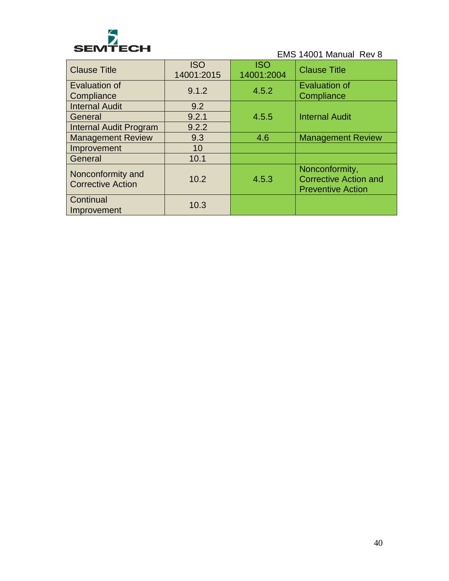

| <b>Clause Title</b>                           | <b>ISO</b><br>14001:2015 | <b>ISO</b><br>14001:2004 | <b>Clause Title</b>                                                        |
|-----------------------------------------------|--------------------------|--------------------------|----------------------------------------------------------------------------|
| Evaluation of<br>Compliance                   | 9.1.2                    | 4.5.2                    | <b>Evaluation of</b><br>Compliance                                         |
| <b>Internal Audit</b>                         | 9.2                      |                          |                                                                            |
| General                                       | 9.2.1                    | 4.5.5                    | <b>Internal Audit</b>                                                      |
| <b>Internal Audit Program</b>                 | 9.2.2                    |                          |                                                                            |
| <b>Management Review</b>                      | 9.3                      | 4.6                      | <b>Management Review</b>                                                   |
| Improvement                                   | 10                       |                          |                                                                            |
| General                                       | 10.1                     |                          |                                                                            |
| Nonconformity and<br><b>Corrective Action</b> | 10.2                     | 4.5.3                    | Nonconformity,<br><b>Corrective Action and</b><br><b>Preventive Action</b> |
| Continual<br>Improvement                      | 10.3                     |                          |                                                                            |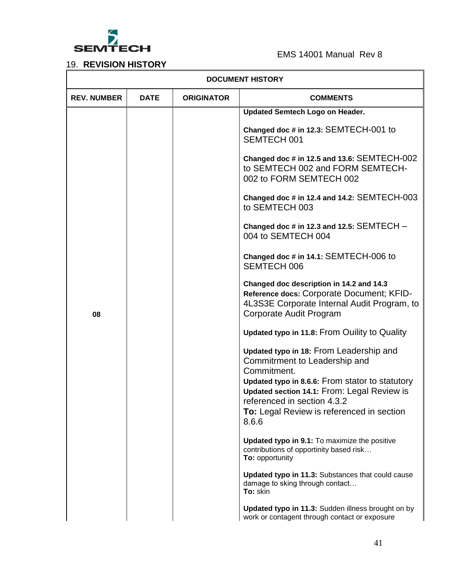

19. **REVISION HISTORY**

| <b>DOCUMENT HISTORY</b> |             |                   |                                                                                                                                                                                                                                                                                |
|-------------------------|-------------|-------------------|--------------------------------------------------------------------------------------------------------------------------------------------------------------------------------------------------------------------------------------------------------------------------------|
| <b>REV. NUMBER</b>      | <b>DATE</b> | <b>ORIGINATOR</b> | <b>COMMENTS</b>                                                                                                                                                                                                                                                                |
|                         |             |                   | <b>Updated Semtech Logo on Header.</b>                                                                                                                                                                                                                                         |
|                         |             |                   | Changed doc # in 12.3: SEMTECH-001 to<br>SEMTECH 001                                                                                                                                                                                                                           |
|                         |             |                   | Changed doc # in 12.5 and 13.6: SEMTECH-002<br>to SEMTECH 002 and FORM SEMTECH-<br>002 to FORM SEMTECH 002                                                                                                                                                                     |
|                         |             |                   | Changed doc # in 12.4 and 14.2: SEMTECH-003<br>to SEMTECH 003                                                                                                                                                                                                                  |
|                         |             |                   | Changed doc # in 12.3 and 12.5: $SEMTECH -$<br>004 to SEMTECH 004                                                                                                                                                                                                              |
|                         |             |                   | Changed doc # in 14.1: SEMTECH-006 to<br><b>SEMTECH 006</b>                                                                                                                                                                                                                    |
| 08                      |             |                   | Changed doc description in 14.2 and 14.3<br>Reference docs: Corporate Document; KFID-<br>4L3S3E Corporate Internal Audit Program, to<br>Corporate Audit Program                                                                                                                |
|                         |             |                   | Updated typo in 11.8: From Ouility to Quality                                                                                                                                                                                                                                  |
|                         |             |                   | Updated typo in 18: From Leadership and<br>Commitrment to Leadership and<br>Commitment.<br>Updated typo in 8.6.6: From stator to statutory<br>Updated section 14.1: From: Legal Review is<br>referenced in section 4.3.2<br>To: Legal Review is referenced in section<br>8.6.6 |
|                         |             |                   | <b>Updated typo in 9.1:</b> To maximize the positive<br>contributions of opportinity based risk<br>To: opportunity                                                                                                                                                             |
|                         |             |                   | Updated typo in 11.3: Substances that could cause<br>damage to sking through contact<br>To: skin                                                                                                                                                                               |
|                         |             |                   | Updated typo in 11.3: Sudden illness brought on by<br>work or contagent through contact or exposure                                                                                                                                                                            |